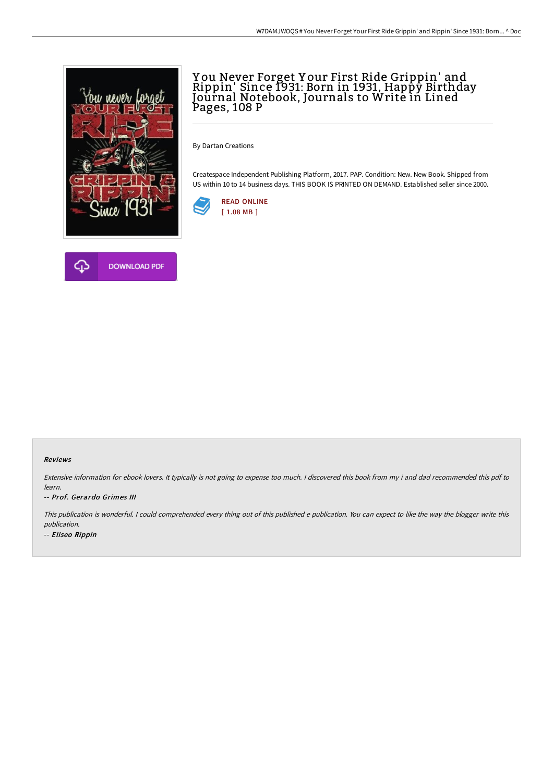

## Y ou Never Forget Y our First Ride Grippin' and Rippin' Since 1931: Born in 1931, Happy Birthday Journal Notebook, Journals to Write in Lined Pages, 108 P

By Dartan Creations

Createspace Independent Publishing Platform, 2017. PAP. Condition: New. New Book. Shipped from US within 10 to 14 business days. THIS BOOK IS PRINTED ON DEMAND. Established seller since 2000.





## Reviews

Extensive information for ebook lovers. It typically is not going to expense too much. <sup>I</sup> discovered this book from my i and dad recommended this pdf to learn.

## -- Prof. Gerardo Grimes III

This publication is wonderful. <sup>I</sup> could comprehended every thing out of this published <sup>e</sup> publication. You can expect to like the way the blogger write this publication. -- Eliseo Rippin